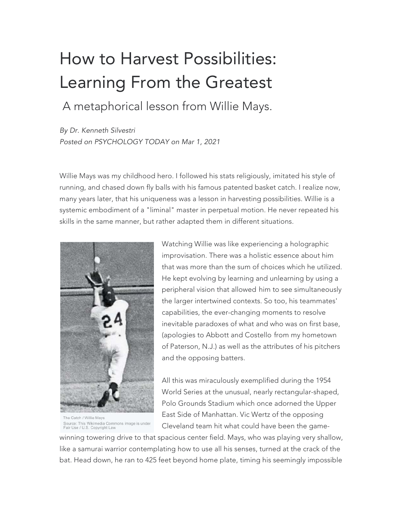## How to Harvest Possibilities: Learning From the Greatest

A metaphorical lesson from Willie Mays.

*By Dr. Kenneth Silvestri Posted on PSYCHOLOGY TODAY on Mar 1, 2021*

Willie Mays was my childhood hero. I followed his stats religiously, imitated his style of running, and chased down fly balls with his famous patented basket catch. I realize now, many years later, that his uniqueness was a lesson in harvesting possibilities. Willie is a systemic embodiment of a "liminal" master in perpetual motion. He never repeated his skills in the same manner, but rather adapted them in different situations.



The Catch / Willie Mays Source: This Wikimedia Commons image is under<br>Fair Use / U.S. Copyright Law

Watching Willie was like experiencing a holographic improvisation. There was a holistic essence about him that was more than the sum of choices which he utilized. He kept evolving by learning and unlearning by using a peripheral vision that allowed him to see simultaneously the larger intertwined contexts. So too, his teammates' capabilities, the ever-changing moments to resolve inevitable paradoxes of what and who was on first base, (apologies to Abbott and Costello from my hometown of Paterson, N.J.) as well as the attributes of his pitchers and the opposing batters.

All this was miraculously exemplified during the 1954 World Series at the unusual, nearly rectangular-shaped, Polo Grounds Stadium which once adorned the Upper East Side of Manhattan. Vic Wertz of the opposing Cleveland team hit what could have been the game-

winning towering drive to that spacious center field. Mays, who was playing very shallow, like a samurai warrior contemplating how to use all his senses, turned at the crack of the bat. Head down, he ran to 425 feet beyond home plate, timing his seemingly impossible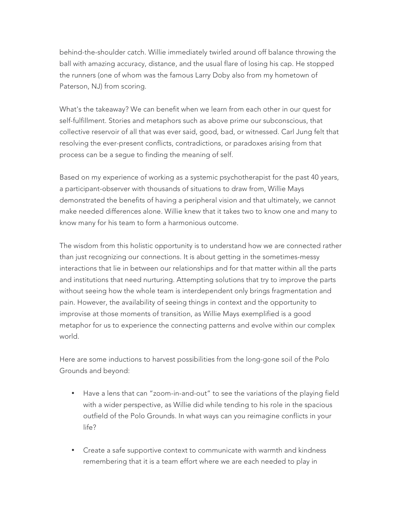behind-the-shoulder catch. Willie immediately twirled around off balance throwing the ball with amazing accuracy, distance, and the usual flare of losing his cap. He stopped the runners (one of whom was the famous Larry Doby also from my hometown of Paterson, NJ) from scoring.

What's the takeaway? We can benefit when we learn from each other in our quest for self-fulfillment. Stories and metaphors such as above prime our subconscious, that collective reservoir of all that was ever said, good, bad, or witnessed. Carl Jung felt that resolving the ever-present conflicts, contradictions, or paradoxes arising from that process can be a segue to finding the meaning of self.

Based on my experience of working as a systemic psychotherapist for the past 40 years, a participant-observer with thousands of situations to draw from, Willie Mays demonstrated the benefits of having a peripheral vision and that ultimately, we cannot make needed differences alone. Willie knew that it takes two to know one and many to know many for his team to form a harmonious outcome.

The wisdom from this holistic opportunity is to understand how we are connected rather than just recognizing our connections. It is about getting in the sometimes-messy interactions that lie in between our relationships and for that matter within all the parts and institutions that need nurturing. Attempting solutions that try to improve the parts without seeing how the whole team is interdependent only brings fragmentation and pain. However, the availability of seeing things in context and the opportunity to improvise at those moments of transition, as Willie Mays exemplified is a good metaphor for us to experience the connecting patterns and evolve within our complex world.

Here are some inductions to harvest possibilities from the long-gone soil of the Polo Grounds and beyond:

- Have a lens that can "zoom-in-and-out" to see the variations of the playing field with a wider perspective, as Willie did while tending to his role in the spacious outfield of the Polo Grounds. In what ways can you reimagine conflicts in your life?
- Create a safe supportive context to communicate with warmth and kindness remembering that it is a team effort where we are each needed to play in